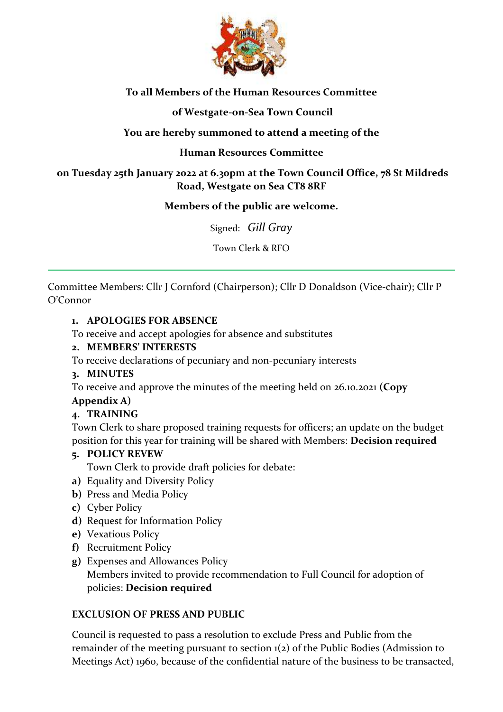

# **To all Members of the Human Resources Committee**

### **of Westgate-on-Sea Town Council**

### **You are hereby summoned to attend a meeting of the**

### **Human Resources Committee**

### **on Tuesday 25th January 2022 at 6.30pm at the Town Council Office, 78 St Mildreds Road, Westgate on Sea CT8 8RF**

#### **Members of the public are welcome.**

Signed: *Gill Gray*

Town Clerk & RFO

Committee Members: Cllr J Cornford (Chairperson); Cllr D Donaldson (Vice-chair); Cllr P O'Connor

#### **1. APOLOGIES FOR ABSENCE**

To receive and accept apologies for absence and substitutes

### **2. MEMBERS' INTERESTS**

To receive declarations of pecuniary and non-pecuniary interests

#### **3. MINUTES**

To receive and approve the minutes of the meeting held on 26.10.2021 **(Copy** 

# **Appendix A)**

# **4. TRAINING**

Town Clerk to share proposed training requests for officers; an update on the budget position for this year for training will be shared with Members: **Decision required**

#### **5. POLICY REVEW**

Town Clerk to provide draft policies for debate:

- **a)** Equality and Diversity Policy
- **b)** Press and Media Policy
- **c)** Cyber Policy
- **d)** Request for Information Policy
- **e)** Vexatious Policy
- **f)** Recruitment Policy
- **g)** Expenses and Allowances Policy Members invited to provide recommendation to Full Council for adoption of policies: **Decision required**

# **EXCLUSION OF PRESS AND PUBLIC**

Council is requested to pass a resolution to exclude Press and Public from the remainder of the meeting pursuant to section 1(2) of the Public Bodies (Admission to Meetings Act) 1960, because of the confidential nature of the business to be transacted,